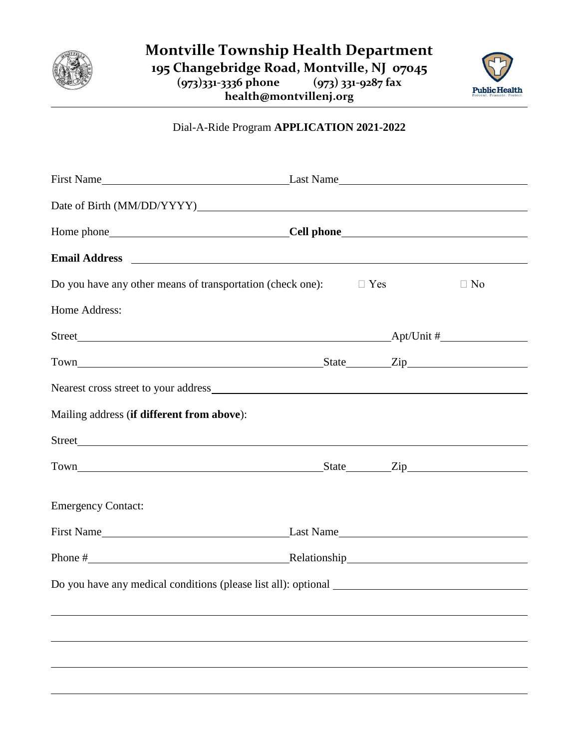



## Dial-A-Ride Program **APPLICATION 2021-2022**

| Date of Birth (MM/DD/YYYY)                                                                                                                                                                                                     |  |           |
|--------------------------------------------------------------------------------------------------------------------------------------------------------------------------------------------------------------------------------|--|-----------|
|                                                                                                                                                                                                                                |  |           |
|                                                                                                                                                                                                                                |  |           |
| Do you have any other means of transportation (check one): $\square$ Yes                                                                                                                                                       |  | $\Box$ No |
| Home Address:                                                                                                                                                                                                                  |  |           |
|                                                                                                                                                                                                                                |  |           |
| Town Town Town Contract Contract Contract Contract Contract Contract Contract Contract Contract Contract Contract Contract Contract Contract Contract Contract Contract Contract Contract Contract Contract Contract Contract  |  |           |
| Nearest cross street to your address experience of the state of the state of the state of the state of the state of the state of the state of the state of the state of the state of the state of the state of the state of th |  |           |
| Mailing address (if different from above):                                                                                                                                                                                     |  |           |
|                                                                                                                                                                                                                                |  |           |
| Town Zip                                                                                                                                                                                                                       |  |           |
| <b>Emergency Contact:</b>                                                                                                                                                                                                      |  |           |
|                                                                                                                                                                                                                                |  |           |
| Phone # Relationship Relationship                                                                                                                                                                                              |  |           |
| Do you have any medical conditions (please list all): optional __________________                                                                                                                                              |  |           |
|                                                                                                                                                                                                                                |  |           |
|                                                                                                                                                                                                                                |  |           |
|                                                                                                                                                                                                                                |  |           |
|                                                                                                                                                                                                                                |  |           |